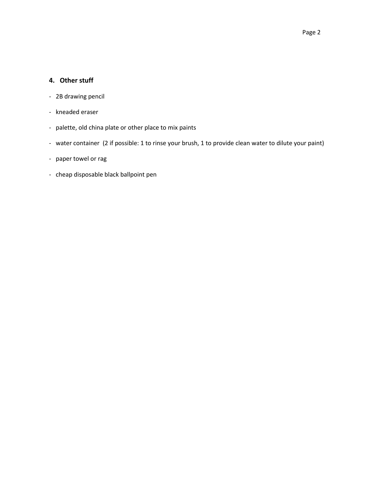#### **4. Other stuff**

- 2B drawing pencil
- kneaded eraser
- palette, old china plate or other place to mix paints
- water container (2 if possible: 1 to rinse your brush, 1 to provide clean water to dilute your paint)
- paper towel or rag
- cheap disposable black ballpoint pen